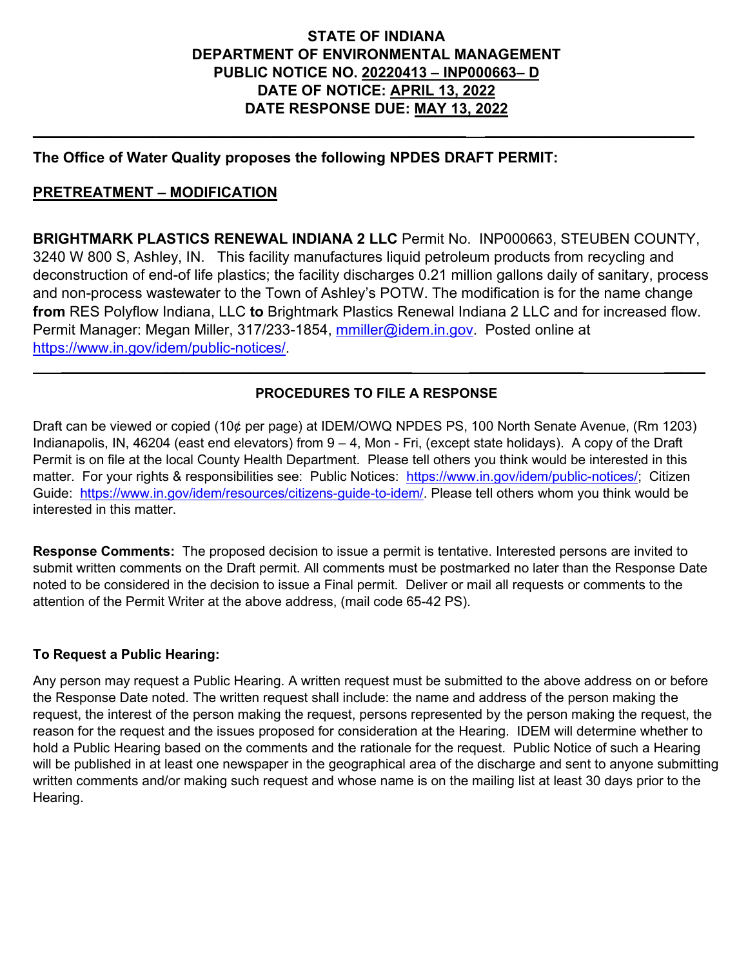## **STATE OF INDIANA DEPARTMENT OF ENVIRONMENTAL MANAGEMENT PUBLIC NOTICE NO. 20220413 – INP000663– D DATE OF NOTICE: APRIL 13, 2022 DATE RESPONSE DUE: MAY 13, 2022**

**\_\_\_\_\_\_\_\_\_\_\_\_\_\_\_\_\_\_\_\_\_\_\_\_\_\_\_\_\_\_\_\_\_\_\_\_\_\_\_\_\_\_\_\_\_\_\_\_\_\_\_\_\_\_\_\_\_\_ \_\_\_\_\_\_\_\_\_\_\_\_\_\_\_\_\_\_\_\_\_\_\_\_\_\_\_\_**

#### **The Office of Water Quality proposes the following NPDES DRAFT PERMIT:**

#### **PRETREATMENT – MODIFICATION**

**BRIGHTMARK PLASTICS RENEWAL INDIANA 2 LLC** Permit No. INP000663, STEUBEN COUNTY, 3240 W 800 S, Ashley, IN. This facility manufactures liquid petroleum products from recycling and deconstruction of end-of life plastics; the facility discharges 0.21 million gallons daily of sanitary, process and non-process wastewater to the Town of Ashley's POTW. The modification is for the name change **from** RES Polyflow Indiana, LLC **to** Brightmark Plastics Renewal Indiana 2 LLC and for increased flow. Permit Manager: Megan Miller, 317/233-1854, [mmiller@idem.in.gov.](mailto:mmiller@idem.in.gov) Posted online at [https://www.in.gov/idem/public-notices/.](https://www.in.gov/idem/public-notices/)

#### **PROCEDURES TO FILE A RESPONSE**

 $\mathcal{L}_\mathcal{L} = \mathcal{L}_\mathcal{L} = \mathcal{L}_\mathcal{L} = \mathcal{L}_\mathcal{L} = \mathcal{L}_\mathcal{L} = \mathcal{L}_\mathcal{L} = \mathcal{L}_\mathcal{L} = \mathcal{L}_\mathcal{L} = \mathcal{L}_\mathcal{L} = \mathcal{L}_\mathcal{L} = \mathcal{L}_\mathcal{L} = \mathcal{L}_\mathcal{L} = \mathcal{L}_\mathcal{L} = \mathcal{L}_\mathcal{L} = \mathcal{L}_\mathcal{L} = \mathcal{L}_\mathcal{L} = \mathcal{L}_\mathcal{L}$ 

Draft can be viewed or copied (10¢ per page) at IDEM/OWQ NPDES PS, 100 North Senate Avenue, (Rm 1203) Indianapolis, IN, 46204 (east end elevators) from 9 – 4, Mon - Fri, (except state holidays). A copy of the Draft Permit is on file at the local County Health Department. Please tell others you think would be interested in this matter. For your rights & responsibilities see: Public Notices: [https://www.in.gov/idem/public-notices/;](https://www.in.gov/idem/public-notices/) Citizen Guide: [https://www.in.gov/idem/resources/citizens-guide-to-idem/.](https://www.in.gov/idem/resources/citizens-guide-to-idem/) Please tell others whom you think would be interested in this matter.

**Response Comments:** The proposed decision to issue a permit is tentative. Interested persons are invited to submit written comments on the Draft permit. All comments must be postmarked no later than the Response Date noted to be considered in the decision to issue a Final permit. Deliver or mail all requests or comments to the attention of the Permit Writer at the above address, (mail code 65-42 PS).

#### **To Request a Public Hearing:**

Any person may request a Public Hearing. A written request must be submitted to the above address on or before the Response Date noted. The written request shall include: the name and address of the person making the request, the interest of the person making the request, persons represented by the person making the request, the reason for the request and the issues proposed for consideration at the Hearing. IDEM will determine whether to hold a Public Hearing based on the comments and the rationale for the request. Public Notice of such a Hearing will be published in at least one newspaper in the geographical area of the discharge and sent to anyone submitting written comments and/or making such request and whose name is on the mailing list at least 30 days prior to the Hearing.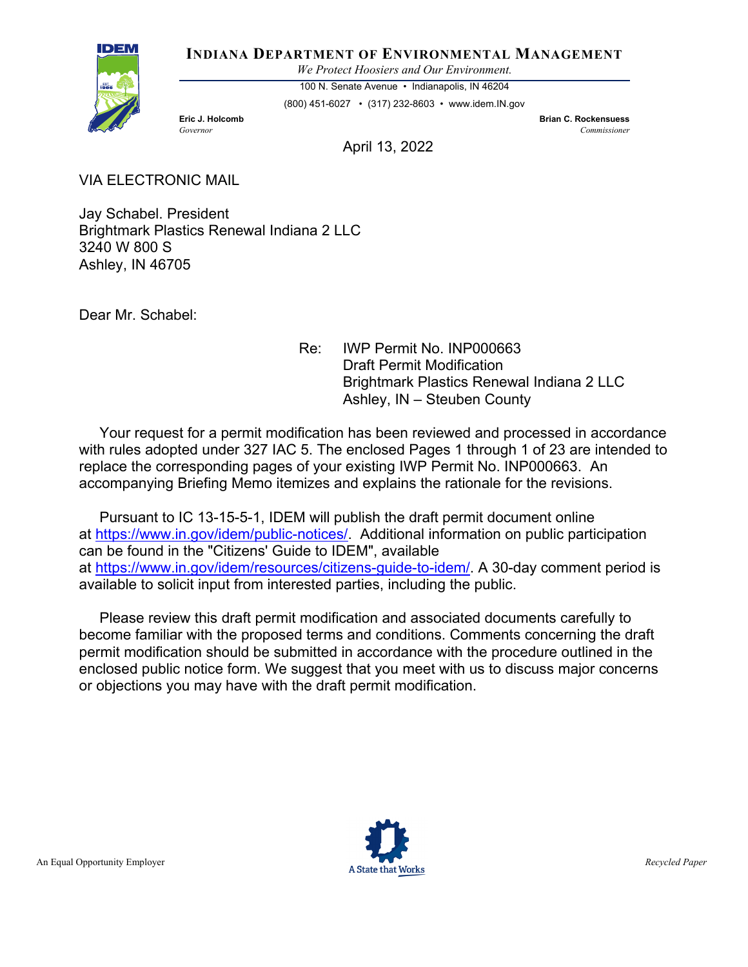**INDIANA DEPARTMENT OF ENVIRONMENTAL MANAGEMENT**

*We Protect Hoosiers and Our Environment.*

100 N. Senate Avenue • Indianapolis, IN 46204 (800) 451-6027 • (317) 232-8603 • www.idem.IN.gov

**Eric J. Holcomb Brian C. Rockensuess** *Governor Commissioner* 

April 13, 2022

VIA ELECTRONIC MAIL

IDEN

Jay Schabel. President Brightmark Plastics Renewal Indiana 2 LLC 3240 W 800 S Ashley, IN 46705

Dear Mr. Schabel:

Re: IWP Permit No. INP000663 Draft Permit Modification Brightmark Plastics Renewal Indiana 2 LLC Ashley, IN – Steuben County

 Your request for a permit modification has been reviewed and processed in accordance with rules adopted under 327 IAC 5. The enclosed Pages 1 through 1 of 23 are intended to replace the corresponding pages of your existing IWP Permit No. INP000663. An accompanying Briefing Memo itemizes and explains the rationale for the revisions.

 Pursuant to IC 13-15-5-1, IDEM will publish the draft permit document online at [https://www.in.gov/idem/public-notices/.](https://www.in.gov/idem/public-notices/) Additional information on public participation can be found in the "Citizens' Guide to IDEM", available at [https://www.in.gov/idem/resources/citizens-guide-to-idem/.](https://www.in.gov/idem/resources/citizens-guide-to-idem/) A 30-day comment period is available to solicit input from interested parties, including the public.

 Please review this draft permit modification and associated documents carefully to become familiar with the proposed terms and conditions. Comments concerning the draft permit modification should be submitted in accordance with the procedure outlined in the enclosed public notice form. We suggest that you meet with us to discuss major concerns or objections you may have with the draft permit modification.

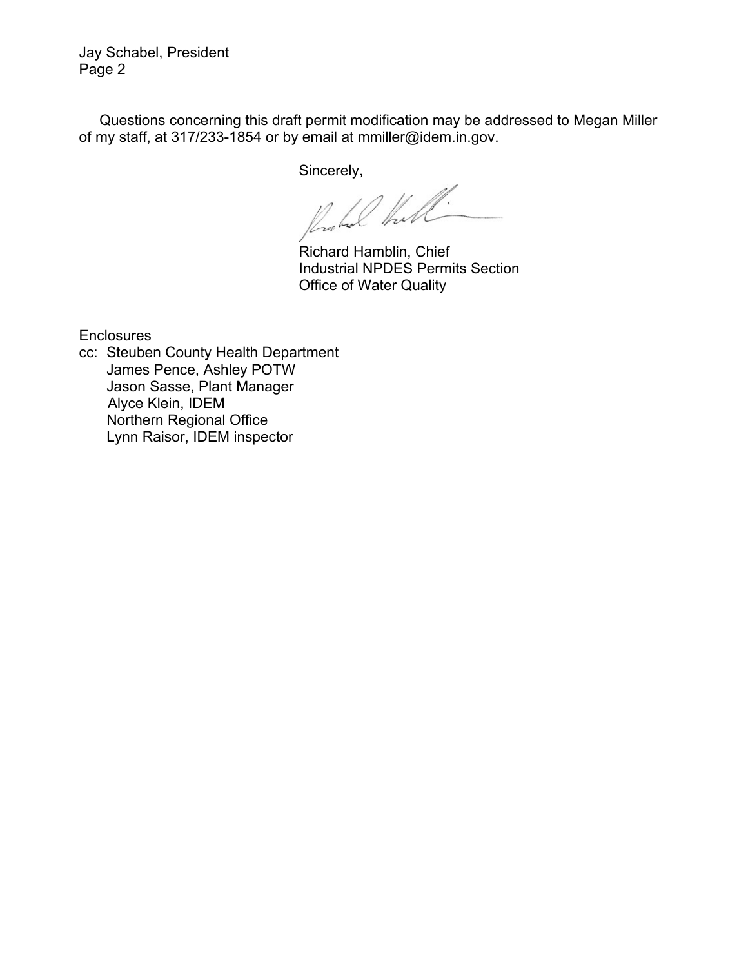Jay Schabel, President Page 2

 Questions concerning this draft permit modification may be addressed to Megan Miller of my staff, at 317/233-1854 or by email at mmiller@idem.in.gov.

Sincerely,

Richard Hamblin, Chief

Industrial NPDES Permits Section Office of Water Quality

**Enclosures** 

cc: Steuben County Health Department James Pence, Ashley POTW Jason Sasse, Plant Manager Alyce Klein, IDEM Northern Regional Office Lynn Raisor, IDEM inspector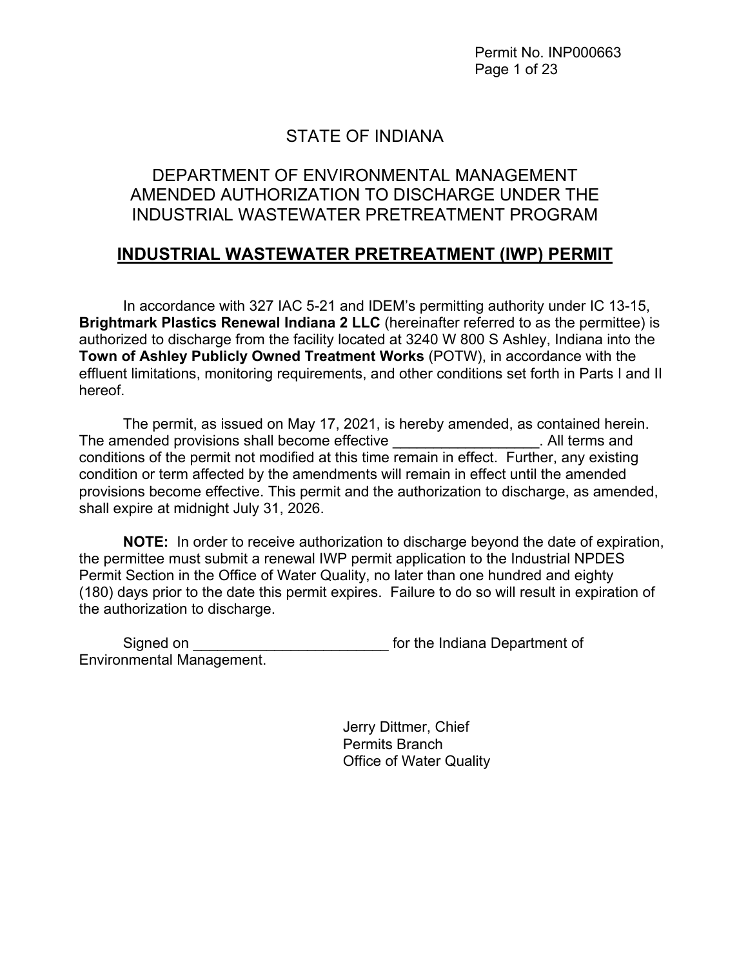Permit No. INP000663 Page 1 of 23

# STATE OF INDIANA

# DEPARTMENT OF ENVIRONMENTAL MANAGEMENT AMENDED AUTHORIZATION TO DISCHARGE UNDER THE INDUSTRIAL WASTEWATER PRETREATMENT PROGRAM

# **INDUSTRIAL WASTEWATER PRETREATMENT (IWP) PERMIT**

In accordance with 327 IAC 5-21 and IDEM's permitting authority under IC 13-15, **Brightmark Plastics Renewal Indiana 2 LLC** (hereinafter referred to as the permittee) is authorized to discharge from the facility located at 3240 W 800 S Ashley, Indiana into the **Town of Ashley Publicly Owned Treatment Works** (POTW), in accordance with the effluent limitations, monitoring requirements, and other conditions set forth in Parts I and II hereof.

The permit, as issued on May 17, 2021, is hereby amended, as contained herein. The amended provisions shall become effective **Example 20** The amended provisions shall become effective conditions of the permit not modified at this time remain in effect. Further, any existing condition or term affected by the amendments will remain in effect until the amended provisions become effective. This permit and the authorization to discharge, as amended, shall expire at midnight July 31, 2026.

**NOTE:** In order to receive authorization to discharge beyond the date of expiration, the permittee must submit a renewal IWP permit application to the Industrial NPDES Permit Section in the Office of Water Quality, no later than one hundred and eighty (180) days prior to the date this permit expires. Failure to do so will result in expiration of the authorization to discharge.

Signed on **Supplement** of the Indiana Department of Environmental Management.

> Jerry Dittmer, Chief Permits Branch Office of Water Quality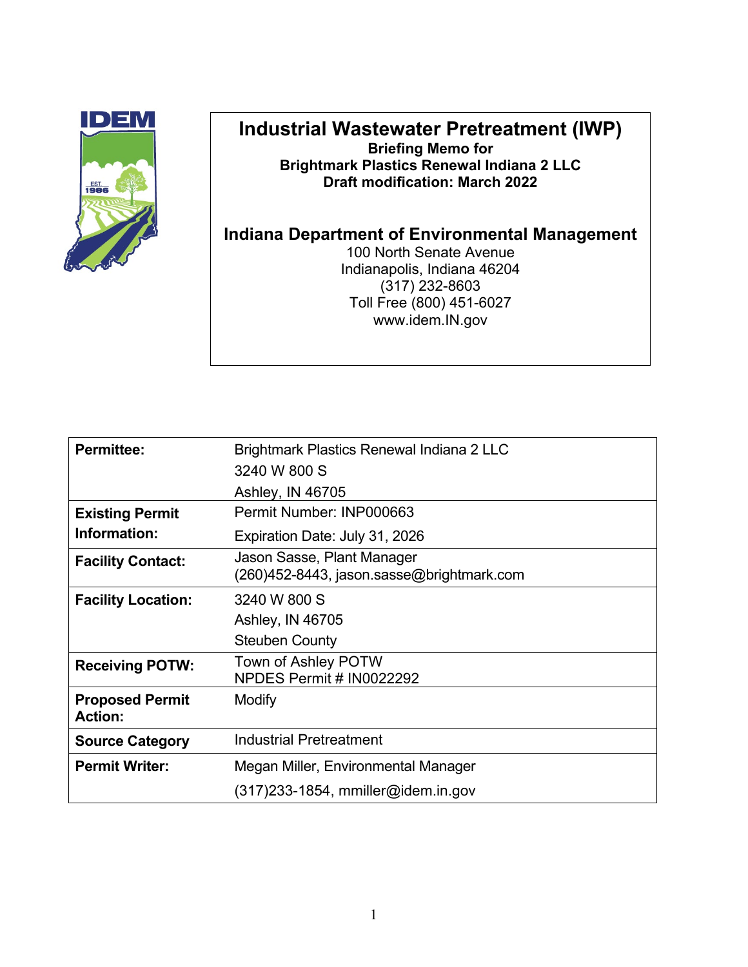

## **Industrial Wastewater Pretreatment (IWP) Briefing Memo for Brightmark Plastics Renewal Indiana 2 LLC Draft modification: March 2022**

## **Indiana Department of Environmental Management**

100 North Senate Avenue Indianapolis, Indiana 46204 (317) 232-8603 Toll Free (800) 451-6027 www.idem.IN.gov

| <b>Permittee:</b>                        | Brightmark Plastics Renewal Indiana 2 LLC                               |
|------------------------------------------|-------------------------------------------------------------------------|
|                                          | 3240 W 800 S                                                            |
|                                          | Ashley, IN 46705                                                        |
| <b>Existing Permit</b>                   | Permit Number: INP000663                                                |
| Information:                             | Expiration Date: July 31, 2026                                          |
| <b>Facility Contact:</b>                 | Jason Sasse, Plant Manager<br>(260)452-8443, jason.sasse@brightmark.com |
| <b>Facility Location:</b>                | 3240 W 800 S                                                            |
|                                          | Ashley, IN 46705                                                        |
|                                          | <b>Steuben County</b>                                                   |
| <b>Receiving POTW:</b>                   | Town of Ashley POTW<br>NPDES Permit # IN0022292                         |
| <b>Proposed Permit</b><br><b>Action:</b> | Modify                                                                  |
| <b>Source Category</b>                   | <b>Industrial Pretreatment</b>                                          |
| <b>Permit Writer:</b>                    | Megan Miller, Environmental Manager                                     |
|                                          | $(317)$ 233-1854, mmiller@idem.in.gov                                   |
|                                          |                                                                         |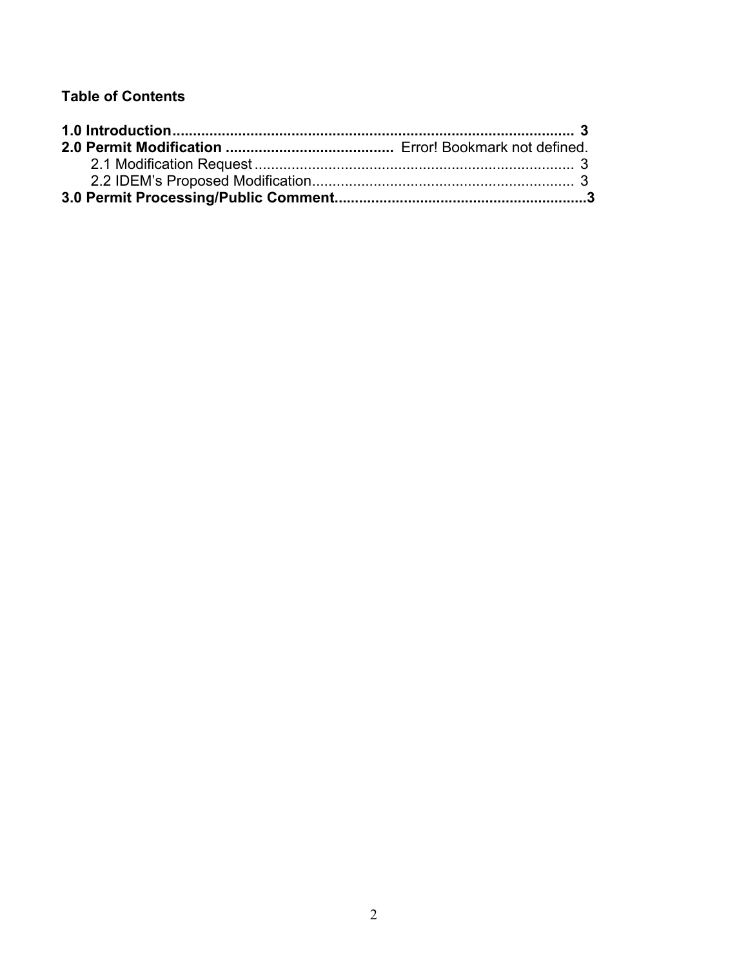## **Table of Contents**